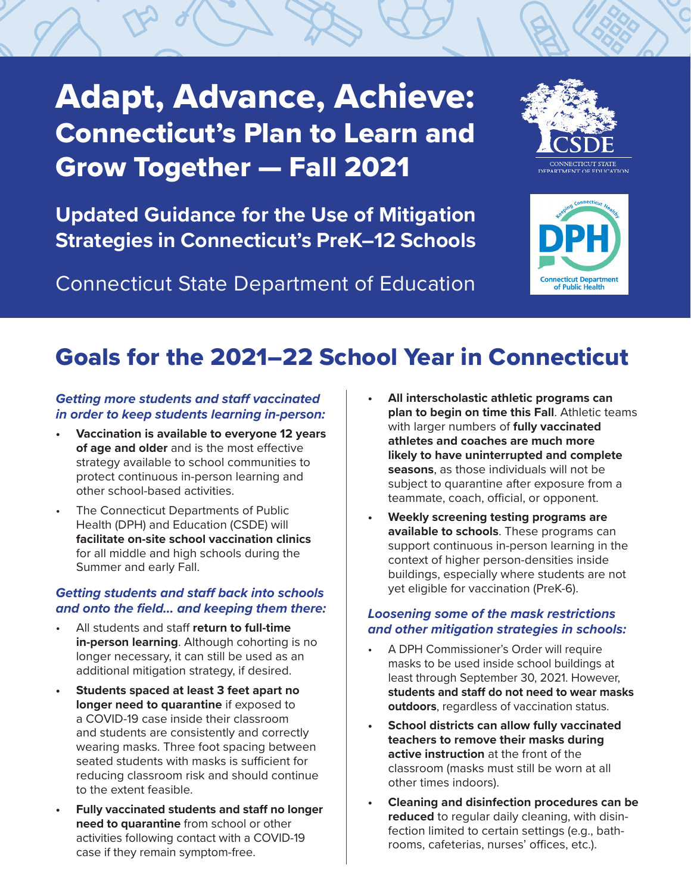# Adapt, Advance, Achieve: Connecticut's Plan to Learn and Grow Together — Fall 2021

**Updated Guidance for the Use of Mitigation Strategies in Connecticut's PreK–12 Schools** 

Connecticut State Department of Education





# Goals for the 2021–22 School Year in Connecticut

# *Getting more students and staff vaccinated in order to keep students learning in-person:*

- **• Vaccination is available to everyone 12 years of age and older** and is the most effective strategy available to school communities to protect continuous in-person learning and other school-based activities.
- The Connecticut Departments of Public Health (DPH) and Education (CSDE) will **facilitate on-site school vaccination clinics** for all middle and high schools during the Summer and early Fall.

# *Getting students and staff back into schools and onto the field… and keeping them there:*

- All students and staff **return to full-time in-person learning**. Although cohorting is no longer necessary, it can still be used as an additional mitigation strategy, if desired.
- **• Students spaced at least 3 feet apart no longer need to quarantine** if exposed to a COVID-19 case inside their classroom and students are consistently and correctly wearing masks. Three foot spacing between seated students with masks is sufficient for reducing classroom risk and should continue to the extent feasible.
- **• Fully vaccinated students and staff no longer need to quarantine** from school or other activities following contact with a COVID-19 case if they remain symptom-free.
- **• All interscholastic athletic programs can plan to begin on time this Fall**. Athletic teams with larger numbers of **fully vaccinated athletes and coaches are much more likely to have uninterrupted and complete seasons**, as those individuals will not be subject to quarantine after exposure from a teammate, coach, official, or opponent.
- **• Weekly screening testing programs are available to schools**. These programs can support continuous in-person learning in the context of higher person-densities inside buildings, especially where students are not yet eligible for vaccination (PreK-6).

# *Loosening some of the mask restrictions and other mitigation strategies in schools:*

- A DPH Commissioner's Order will require masks to be used inside school buildings at least through September 30, 2021. However, **students and staff do not need to wear masks outdoors**, regardless of vaccination status.
- **• School districts can allow fully vaccinated teachers to remove their masks during active instruction** at the front of the classroom (masks must still be worn at all other times indoors).
- **• Cleaning and disinfection procedures can be reduced** to regular daily cleaning, with disinfection limited to certain settings (e.g., bathrooms, cafeterias, nurses' offices, etc.).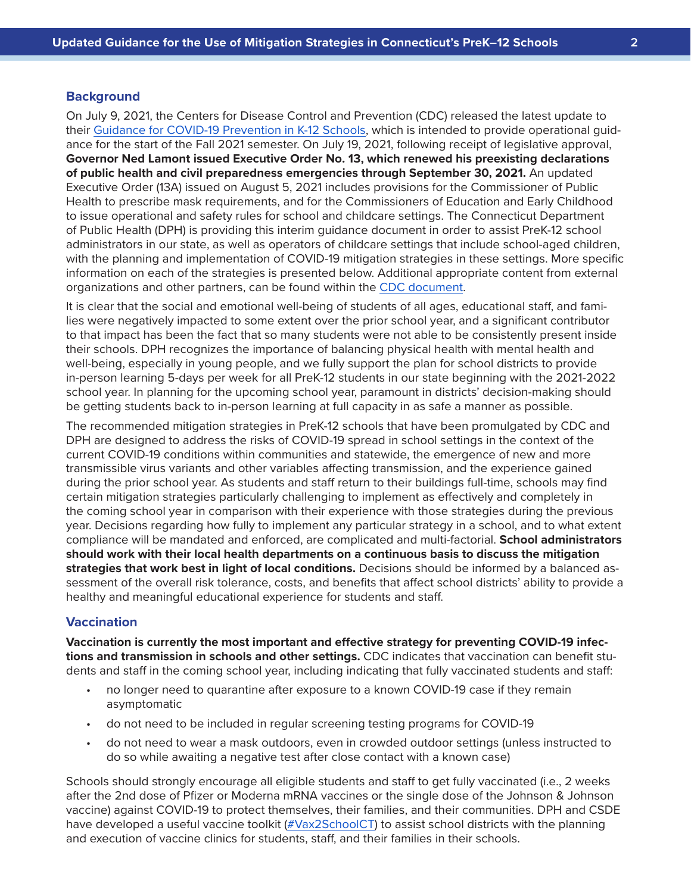#### **Background**

On July 9, 2021, the Centers for Disease Control and Prevention (CDC) released the latest update to their [Guidance for COVID-19 Prevention in K-12 Schools](https://www.cdc.gov/coronavirus/2019-ncov/community/schools-childcare/k-12-guidance.html), which is intended to provide operational guidance for the start of the Fall 2021 semester. On July 19, 2021, following receipt of legislative approval, **Governor Ned Lamont issued Executive Order No. 13, which renewed his preexisting declarations of public health and civil preparedness emergencies through September 30, 2021.** An updated Executive Order (13A) issued on August 5, 2021 includes provisions for the Commissioner of Public Health to prescribe mask requirements, and for the Commissioners of Education and Early Childhood to issue operational and safety rules for school and childcare settings. The Connecticut Department of Public Health (DPH) is providing this interim guidance document in order to assist PreK-12 school administrators in our state, as well as operators of childcare settings that include school-aged children, with the planning and implementation of COVID-19 mitigation strategies in these settings. More specific information on each of the strategies is presented below. Additional appropriate content from external organizations and other partners, can be found within the [CDC document](https://www.cdc.gov/coronavirus/2019-ncov/community/schools-childcare/k-12-guidance.html).

It is clear that the social and emotional well-being of students of all ages, educational staff, and families were negatively impacted to some extent over the prior school year, and a significant contributor to that impact has been the fact that so many students were not able to be consistently present inside their schools. DPH recognizes the importance of balancing physical health with mental health and well-being, especially in young people, and we fully support the plan for school districts to provide in-person learning 5-days per week for all PreK-12 students in our state beginning with the 2021-2022 school year. In planning for the upcoming school year, paramount in districts' decision-making should be getting students back to in-person learning at full capacity in as safe a manner as possible.

The recommended mitigation strategies in PreK-12 schools that have been promulgated by CDC and DPH are designed to address the risks of COVID-19 spread in school settings in the context of the current COVID-19 conditions within communities and statewide, the emergence of new and more transmissible virus variants and other variables affecting transmission, and the experience gained during the prior school year. As students and staff return to their buildings full-time, schools may find certain mitigation strategies particularly challenging to implement as effectively and completely in the coming school year in comparison with their experience with those strategies during the previous year. Decisions regarding how fully to implement any particular strategy in a school, and to what extent compliance will be mandated and enforced, are complicated and multi-factorial. **School administrators should work with their local health departments on a continuous basis to discuss the mitigation strategies that work best in light of local conditions.** Decisions should be informed by a balanced assessment of the overall risk tolerance, costs, and benefits that affect school districts' ability to provide a healthy and meaningful educational experience for students and staff.

# **Vaccination**

**Vaccination is currently the most important and effective strategy for preventing COVID-19 infections and transmission in schools and other settings.** CDC indicates that vaccination can benefit students and staff in the coming school year, including indicating that fully vaccinated students and staff:

- no longer need to quarantine after exposure to a known COVID-19 case if they remain asymptomatic
- do not need to be included in regular screening testing programs for COVID-19
- do not need to wear a mask outdoors, even in crowded outdoor settings (unless instructed to do so while awaiting a negative test after close contact with a known case)

Schools should strongly encourage all eligible students and staff to get fully vaccinated (i.e., 2 weeks after the 2nd dose of Pfizer or Moderna mRNA vaccines or the single dose of the Johnson & Johnson vaccine) against COVID-19 to protect themselves, their families, and their communities. DPH and CSDE have developed a useful vaccine toolkit ([#Vax2SchoolCT](https://portal.ct.gov/-/media/SDE/Digest/2021-22/Vax2SchoolCTToolkit.pdf)) to assist school districts with the planning and execution of vaccine clinics for students, staff, and their families in their schools.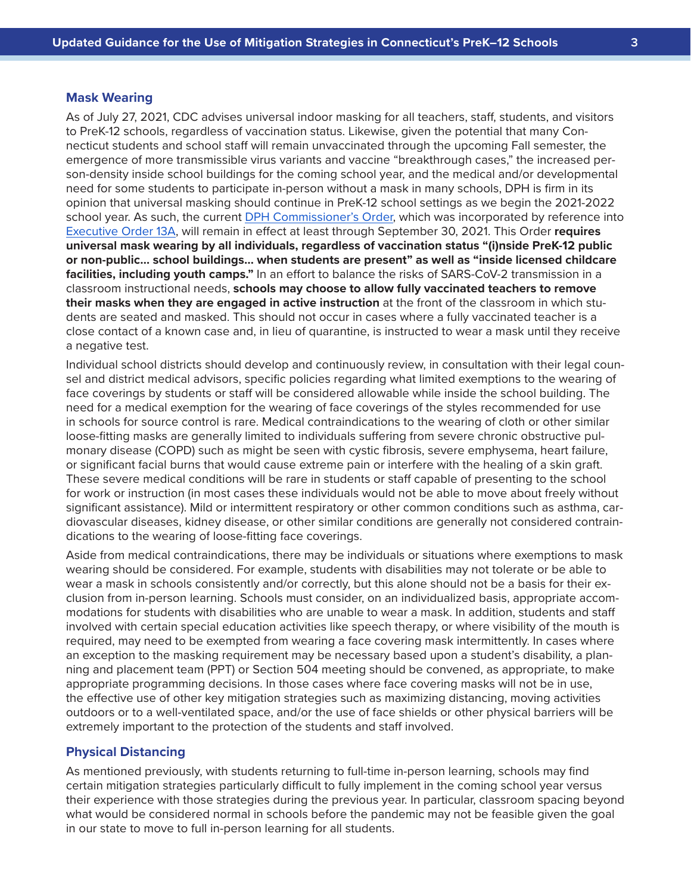#### **Mask Wearing**

As of July 27, 2021, CDC advises universal indoor masking for all teachers, staff, students, and visitors to PreK-12 schools, regardless of vaccination status. Likewise, given the potential that many Connecticut students and school staff will remain unvaccinated through the upcoming Fall semester, the emergence of more transmissible virus variants and vaccine "breakthrough cases," the increased person-density inside school buildings for the coming school year, and the medical and/or developmental need for some students to participate in-person without a mask in many schools, DPH is firm in its opinion that universal masking should continue in PreK-12 school settings as we begin the 2021-2022 school year. As such, the current [DPH Commissioner's Order](https://portal.ct.gov/-/media/Coronavirus/20210807-DPH-Order-Regarding-Universal-Masking.pdf), which was incorporated by reference into [Executive Order 13A,](https://portal.ct.gov/-/media/Office-of-the-Governor/Executive-Orders/Lamont-Executive-Orders/Executive-Order-No-13A.pdf) will remain in effect at least through September 30, 2021. This Order **requires universal mask wearing by all individuals, regardless of vaccination status "(i)nside PreK-12 public or non-public… school buildings… when students are present" as well as "inside licensed childcare facilities, including youth camps."** In an effort to balance the risks of SARS-CoV-2 transmission in a classroom instructional needs, **schools may choose to allow fully vaccinated teachers to remove their masks when they are engaged in active instruction** at the front of the classroom in which students are seated and masked. This should not occur in cases where a fully vaccinated teacher is a close contact of a known case and, in lieu of quarantine, is instructed to wear a mask until they receive a negative test.

Individual school districts should develop and continuously review, in consultation with their legal counsel and district medical advisors, specific policies regarding what limited exemptions to the wearing of face coverings by students or staff will be considered allowable while inside the school building. The need for a medical exemption for the wearing of face coverings of the styles recommended for use in schools for source control is rare. Medical contraindications to the wearing of cloth or other similar loose-fitting masks are generally limited to individuals suffering from severe chronic obstructive pulmonary disease (COPD) such as might be seen with cystic fibrosis, severe emphysema, heart failure, or significant facial burns that would cause extreme pain or interfere with the healing of a skin graft. These severe medical conditions will be rare in students or staff capable of presenting to the school for work or instruction (in most cases these individuals would not be able to move about freely without significant assistance). Mild or intermittent respiratory or other common conditions such as asthma, cardiovascular diseases, kidney disease, or other similar conditions are generally not considered contraindications to the wearing of loose-fitting face coverings.

Aside from medical contraindications, there may be individuals or situations where exemptions to mask wearing should be considered. For example, students with disabilities may not tolerate or be able to wear a mask in schools consistently and/or correctly, but this alone should not be a basis for their exclusion from in-person learning. Schools must consider, on an individualized basis, appropriate accommodations for students with disabilities who are unable to wear a mask. In addition, students and staff involved with certain special education activities like speech therapy, or where visibility of the mouth is required, may need to be exempted from wearing a face covering mask intermittently. In cases where an exception to the masking requirement may be necessary based upon a student's disability, a planning and placement team (PPT) or Section 504 meeting should be convened, as appropriate, to make appropriate programming decisions. In those cases where face covering masks will not be in use, the effective use of other key mitigation strategies such as maximizing distancing, moving activities outdoors or to a well-ventilated space, and/or the use of face shields or other physical barriers will be extremely important to the protection of the students and staff involved.

# **Physical Distancing**

As mentioned previously, with students returning to full-time in-person learning, schools may find certain mitigation strategies particularly difficult to fully implement in the coming school year versus their experience with those strategies during the previous year. In particular, classroom spacing beyond what would be considered normal in schools before the pandemic may not be feasible given the goal in our state to move to full in-person learning for all students.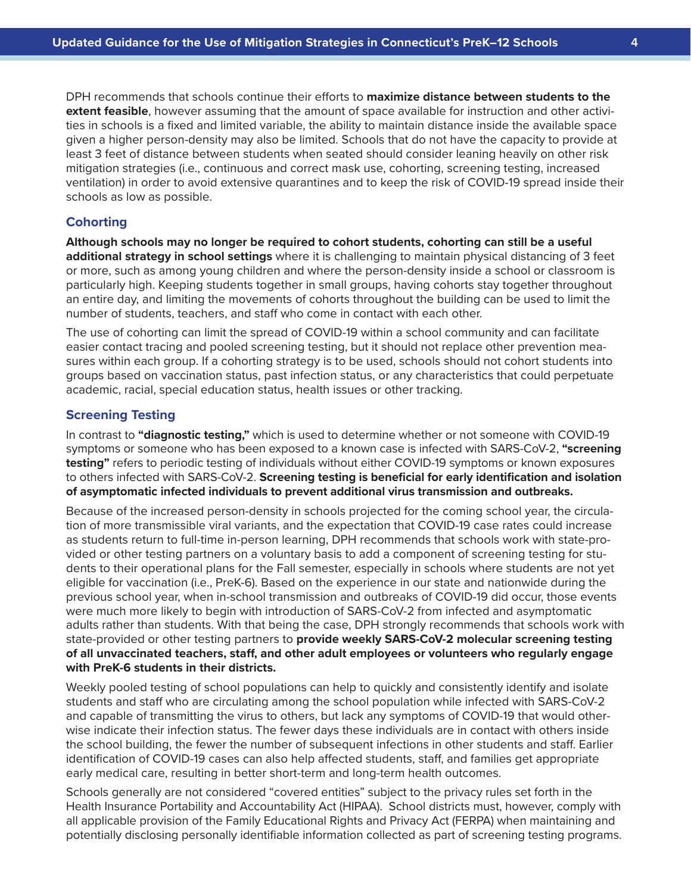DPH recommends that schools continue their efforts to **maximize distance between students to the extent feasible**, however assuming that the amount of space available for instruction and other activities in schools is a fixed and limited variable, the ability to maintain distance inside the available space given a higher person-density may also be limited. Schools that do not have the capacity to provide at least 3 feet of distance between students when seated should consider leaning heavily on other risk mitigation strategies (i.e., continuous and correct mask use, cohorting, screening testing, increased ventilation) in order to avoid extensive quarantines and to keep the risk of COVID-19 spread inside their schools as low as possible.

# **Cohorting**

**Although schools may no longer be required to cohort students, cohorting can still be a useful additional strategy in school settings** where it is challenging to maintain physical distancing of 3 feet or more, such as among young children and where the person-density inside a school or classroom is particularly high. Keeping students together in small groups, having cohorts stay together throughout an entire day, and limiting the movements of cohorts throughout the building can be used to limit the number of students, teachers, and staff who come in contact with each other.

The use of cohorting can limit the spread of COVID-19 within a school community and can facilitate easier contact tracing and pooled screening testing, but it should not replace other prevention measures within each group. If a cohorting strategy is to be used, schools should not cohort students into groups based on vaccination status, past infection status, or any characteristics that could perpetuate academic, racial, special education status, health issues or other tracking.

# **Screening Testing**

In contrast to **"diagnostic testing,"** which is used to determine whether or not someone with COVID-19 symptoms or someone who has been exposed to a known case is infected with SARS-CoV-2, **"screening testing"** refers to periodic testing of individuals without either COVID-19 symptoms or known exposures to others infected with SARS-CoV-2. **Screening testing is beneficial for early identification and isolation of asymptomatic infected individuals to prevent additional virus transmission and outbreaks.** 

Because of the increased person-density in schools projected for the coming school year, the circulation of more transmissible viral variants, and the expectation that COVID-19 case rates could increase as students return to full-time in-person learning, DPH recommends that schools work with state-provided or other testing partners on a voluntary basis to add a component of screening testing for students to their operational plans for the Fall semester, especially in schools where students are not yet eligible for vaccination (i.e., PreK-6). Based on the experience in our state and nationwide during the previous school year, when in-school transmission and outbreaks of COVID-19 did occur, those events were much more likely to begin with introduction of SARS-CoV-2 from infected and asymptomatic adults rather than students. With that being the case, DPH strongly recommends that schools work with state-provided or other testing partners to **provide weekly SARS-CoV-2 molecular screening testing of all unvaccinated teachers, staff, and other adult employees or volunteers who regularly engage with PreK-6 students in their districts.**

Weekly pooled testing of school populations can help to quickly and consistently identify and isolate students and staff who are circulating among the school population while infected with SARS-CoV-2 and capable of transmitting the virus to others, but lack any symptoms of COVID-19 that would otherwise indicate their infection status. The fewer days these individuals are in contact with others inside the school building, the fewer the number of subsequent infections in other students and staff. Earlier identification of COVID-19 cases can also help affected students, staff, and families get appropriate early medical care, resulting in better short-term and long-term health outcomes.

Schools generally are not considered "covered entities" subject to the privacy rules set forth in the Health Insurance Portability and Accountability Act (HIPAA). School districts must, however, comply with all applicable provision of the Family Educational Rights and Privacy Act (FERPA) when maintaining and potentially disclosing personally identifiable information collected as part of screening testing programs.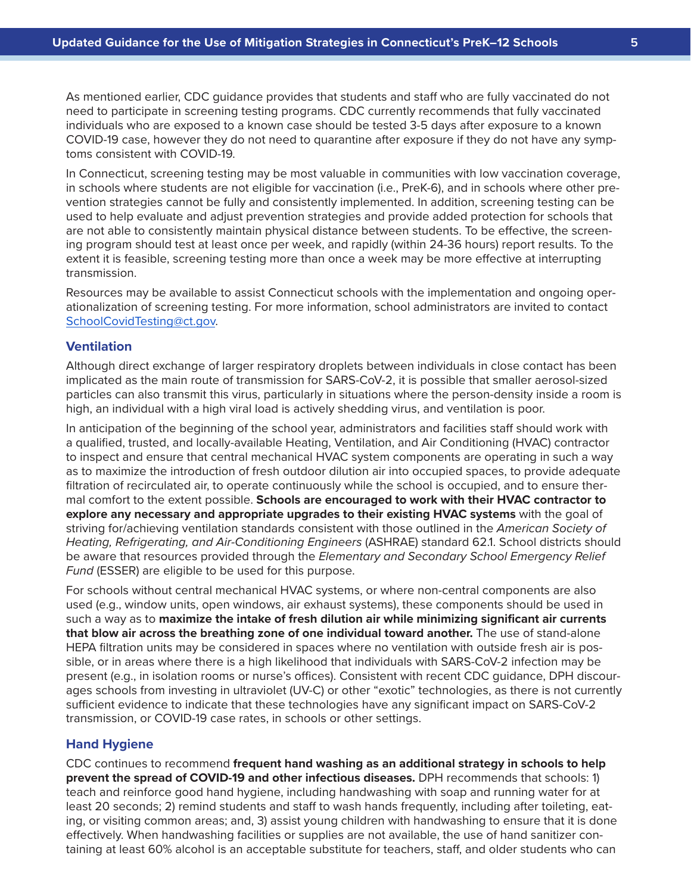As mentioned earlier, CDC guidance provides that students and staff who are fully vaccinated do not need to participate in screening testing programs. CDC currently recommends that fully vaccinated individuals who are exposed to a known case should be tested 3-5 days after exposure to a known COVID-19 case, however they do not need to quarantine after exposure if they do not have any symptoms consistent with COVID-19.

In Connecticut, screening testing may be most valuable in communities with low vaccination coverage, in schools where students are not eligible for vaccination (i.e., PreK-6), and in schools where other prevention strategies cannot be fully and consistently implemented. In addition, screening testing can be used to help evaluate and adjust prevention strategies and provide added protection for schools that are not able to consistently maintain physical distance between students. To be effective, the screening program should test at least once per week, and rapidly (within 24-36 hours) report results. To the extent it is feasible, screening testing more than once a week may be more effective at interrupting transmission.

Resources may be available to assist Connecticut schools with the implementation and ongoing operationalization of screening testing. For more information, school administrators are invited to contact [SchoolCovidTesting@ct.gov.](mailto:SchoolCovidTesting@ct.gov)

# **Ventilation**

Although direct exchange of larger respiratory droplets between individuals in close contact has been implicated as the main route of transmission for SARS-CoV-2, it is possible that smaller aerosol-sized particles can also transmit this virus, particularly in situations where the person-density inside a room is high, an individual with a high viral load is actively shedding virus, and ventilation is poor.

In anticipation of the beginning of the school year, administrators and facilities staff should work with a qualified, trusted, and locally-available Heating, Ventilation, and Air Conditioning (HVAC) contractor to inspect and ensure that central mechanical HVAC system components are operating in such a way as to maximize the introduction of fresh outdoor dilution air into occupied spaces, to provide adequate filtration of recirculated air, to operate continuously while the school is occupied, and to ensure thermal comfort to the extent possible. **Schools are encouraged to work with their HVAC contractor to explore any necessary and appropriate upgrades to their existing HVAC systems** with the goal of striving for/achieving ventilation standards consistent with those outlined in the *American Society of Heating, Refrigerating, and Air-Conditioning Engineers* (ASHRAE) standard 62.1. School districts should be aware that resources provided through the *Elementary and Secondary School Emergency Relief Fund* (ESSER) are eligible to be used for this purpose.

For schools without central mechanical HVAC systems, or where non-central components are also used (e.g., window units, open windows, air exhaust systems), these components should be used in such a way as to **maximize the intake of fresh dilution air while minimizing significant air currents that blow air across the breathing zone of one individual toward another.** The use of stand-alone HEPA filtration units may be considered in spaces where no ventilation with outside fresh air is possible, or in areas where there is a high likelihood that individuals with SARS-CoV-2 infection may be present (e.g., in isolation rooms or nurse's offices). Consistent with recent CDC guidance, DPH discourages schools from investing in ultraviolet (UV-C) or other "exotic" technologies, as there is not currently sufficient evidence to indicate that these technologies have any significant impact on SARS-CoV-2 transmission, or COVID-19 case rates, in schools or other settings.

# **Hand Hygiene**

CDC continues to recommend **frequent hand washing as an additional strategy in schools to help prevent the spread of COVID-19 and other infectious diseases.** DPH recommends that schools: 1) teach and reinforce good hand hygiene, including handwashing with soap and running water for at least 20 seconds; 2) remind students and staff to wash hands frequently, including after toileting, eating, or visiting common areas; and, 3) assist young children with handwashing to ensure that it is done effectively. When handwashing facilities or supplies are not available, the use of hand sanitizer containing at least 60% alcohol is an acceptable substitute for teachers, staff, and older students who can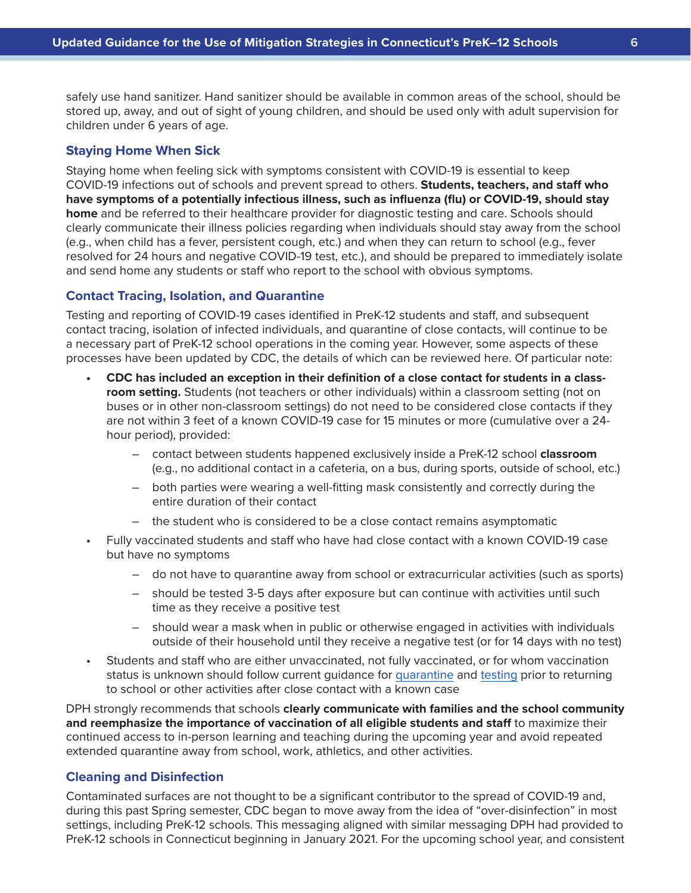safely use hand sanitizer. Hand sanitizer should be available in common areas of the school, should be stored up, away, and out of sight of young children, and should be used only with adult supervision for children under 6 years of age.

# **Staying Home When Sick**

Staying home when feeling sick with symptoms consistent with COVID-19 is essential to keep COVID-19 infections out of schools and prevent spread to others. **Students, teachers, and staff who have symptoms of a potentially infectious illness, such as influenza (flu) or COVID-19, should stay home** and be referred to their healthcare provider for diagnostic testing and care. Schools should clearly communicate their illness policies regarding when individuals should stay away from the school (e.g., when child has a fever, persistent cough, etc.) and when they can return to school (e.g., fever resolved for 24 hours and negative COVID-19 test, etc.), and should be prepared to immediately isolate and send home any students or staff who report to the school with obvious symptoms.

#### **Contact Tracing, Isolation, and Quarantine**

Testing and reporting of COVID-19 cases identified in PreK-12 students and staff, and subsequent contact tracing, isolation of infected individuals, and quarantine of close contacts, will continue to be a necessary part of PreK-12 school operations in the coming year. However, some aspects of these processes have been updated by CDC, the details of which can be reviewed here. Of particular note:

- **• CDC has included an exception in their definition of a close contact for students in a classroom setting.** Students (not teachers or other individuals) within a classroom setting (not on buses or in other non-classroom settings) do not need to be considered close contacts if they are not within 3 feet of a known COVID-19 case for 15 minutes or more (cumulative over a 24 hour period), provided:
	- contact between students happened exclusively inside a PreK-12 school **classroom** (e.g., no additional contact in a cafeteria, on a bus, during sports, outside of school, etc.)
	- both parties were wearing a well-fitting mask consistently and correctly during the entire duration of their contact
	- the student who is considered to be a close contact remains asymptomatic
- Fully vaccinated students and staff who have had close contact with a known COVID-19 case but have no symptoms
	- do not have to quarantine away from school or extracurricular activities (such as sports)
	- should be tested 3-5 days after exposure but can continue with activities until such time as they receive a positive test
	- should wear a mask when in public or otherwise engaged in activities with individuals outside of their household until they receive a negative test (or for 14 days with no test)
- Students and staff who are either unvaccinated, not fully vaccinated, or for whom vaccination status is unknown should follow current guidance for [quarantine](https://www.cdc.gov/coronavirus/2019-ncov/if-you-are-sick/quarantine.html) and [testing](https://www.cdc.gov/coronavirus/2019-ncov/lab/resources/sars-cov2-testing-strategies.html) prior to returning to school or other activities after close contact with a known case

DPH strongly recommends that schools **clearly communicate with families and the school community and reemphasize the importance of vaccination of all eligible students and staff** to maximize their continued access to in-person learning and teaching during the upcoming year and avoid repeated extended quarantine away from school, work, athletics, and other activities.

#### **Cleaning and Disinfection**

Contaminated surfaces are not thought to be a significant contributor to the spread of COVID-19 and, during this past Spring semester, CDC began to move away from the idea of "over-disinfection" in most settings, including PreK-12 schools. This messaging aligned with similar messaging DPH had provided to PreK-12 schools in Connecticut beginning in January 2021. For the upcoming school year, and consistent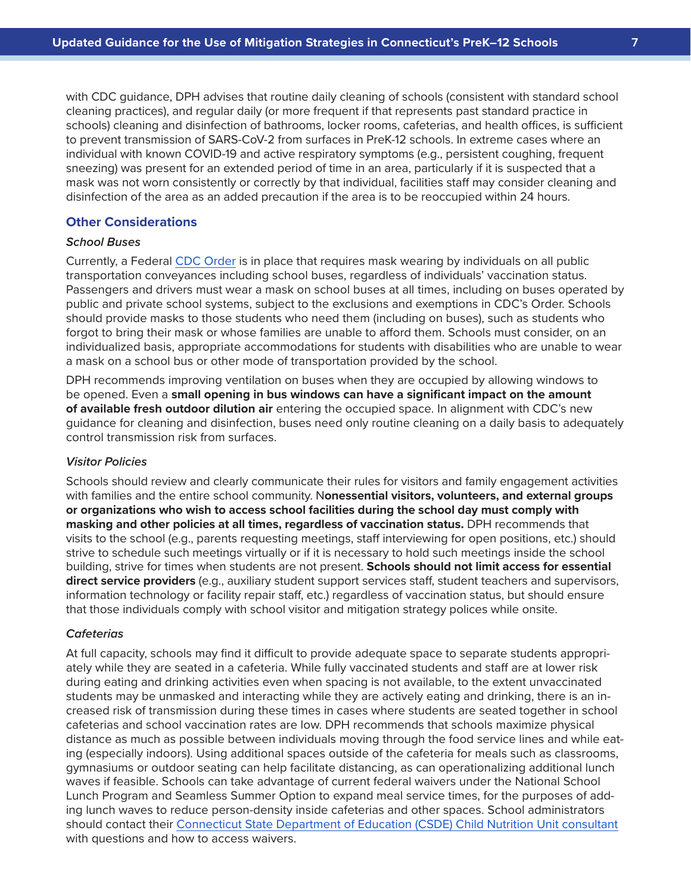with CDC guidance, DPH advises that routine daily cleaning of schools (consistent with standard school cleaning practices), and regular daily (or more frequent if that represents past standard practice in schools) cleaning and disinfection of bathrooms, locker rooms, cafeterias, and health offices, is sufficient to prevent transmission of SARS-CoV-2 from surfaces in PreK-12 schools. In extreme cases where an individual with known COVID-19 and active respiratory symptoms (e.g., persistent coughing, frequent sneezing) was present for an extended period of time in an area, particularly if it is suspected that a mask was not worn consistently or correctly by that individual, facilities staff may consider cleaning and disinfection of the area as an added precaution if the area is to be reoccupied within 24 hours.

#### **Other Considerations**

## *School Buses*

Currently, a Federal [CDC Order](https://www.cdc.gov/quarantine/masks/mask-travel-guidance.html) is in place that requires mask wearing by individuals on all public transportation conveyances including school buses, regardless of individuals' vaccination status. Passengers and drivers must wear a mask on school buses at all times, including on buses operated by public and private school systems, subject to the exclusions and exemptions in CDC's Order. Schools should provide masks to those students who need them (including on buses), such as students who forgot to bring their mask or whose families are unable to afford them. Schools must consider, on an individualized basis, appropriate accommodations for students with disabilities who are unable to wear a mask on a school bus or other mode of transportation provided by the school.

DPH recommends improving ventilation on buses when they are occupied by allowing windows to be opened. Even a **small opening in bus windows can have a significant impact on the amount of available fresh outdoor dilution air** entering the occupied space. In alignment with CDC's new guidance for cleaning and disinfection, buses need only routine cleaning on a daily basis to adequately control transmission risk from surfaces.

#### *Visitor Policies*

Schools should review and clearly communicate their rules for visitors and family engagement activities with families and the entire school community. N**onessential visitors, volunteers, and external groups or organizations who wish to access school facilities during the school day must comply with masking and other policies at all times, regardless of vaccination status.** DPH recommends that visits to the school (e.g., parents requesting meetings, staff interviewing for open positions, etc.) should strive to schedule such meetings virtually or if it is necessary to hold such meetings inside the school building, strive for times when students are not present. **Schools should not limit access for essential direct service providers** (e.g., auxiliary student support services staff, student teachers and supervisors, information technology or facility repair staff, etc.) regardless of vaccination status, but should ensure that those individuals comply with school visitor and mitigation strategy polices while onsite.

#### *Cafeterias*

At full capacity, schools may find it difficult to provide adequate space to separate students appropriately while they are seated in a cafeteria. While fully vaccinated students and staff are at lower risk during eating and drinking activities even when spacing is not available, to the extent unvaccinated students may be unmasked and interacting while they are actively eating and drinking, there is an increased risk of transmission during these times in cases where students are seated together in school cafeterias and school vaccination rates are low. DPH recommends that schools maximize physical distance as much as possible between individuals moving through the food service lines and while eating (especially indoors). Using additional spaces outside of the cafeteria for meals such as classrooms, gymnasiums or outdoor seating can help facilitate distancing, as can operationalizing additional lunch waves if feasible. Schools can take advantage of current federal waivers under the National School Lunch Program and Seamless Summer Option to expand meal service times, for the purposes of adding lunch waves to reduce person-density inside cafeterias and other spaces. School administrators should contact their [Connecticut State Department of Education \(CSDE\) Child Nutrition Unit consultant](https://portal.ct.gov/-/media/SDE/Nutrition/CNstaff/countyassign.pdf) with questions and how to access waivers.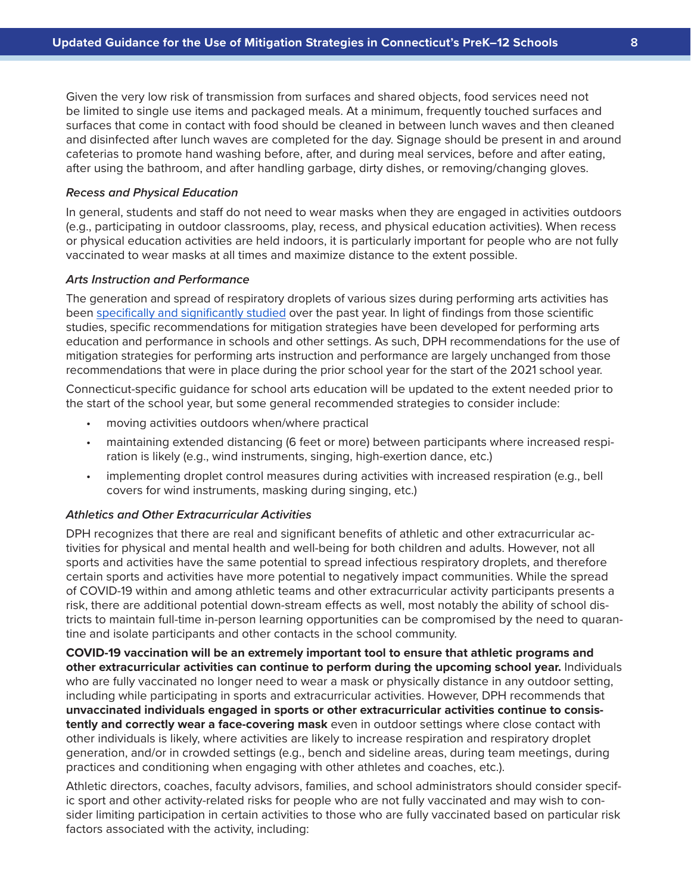Given the very low risk of transmission from surfaces and shared objects, food services need not be limited to single use items and packaged meals. At a minimum, frequently touched surfaces and surfaces that come in contact with food should be cleaned in between lunch waves and then cleaned and disinfected after lunch waves are completed for the day. Signage should be present in and around cafeterias to promote hand washing before, after, and during meal services, before and after eating, after using the bathroom, and after handling garbage, dirty dishes, or removing/changing gloves.

#### *Recess and Physical Education*

In general, students and staff do not need to wear masks when they are engaged in activities outdoors (e.g., participating in outdoor classrooms, play, recess, and physical education activities). When recess or physical education activities are held indoors, it is particularly important for people who are not fully vaccinated to wear masks at all times and maximize distance to the extent possible.

#### *Arts Instruction and Performance*

The generation and spread of respiratory droplets of various sizes during performing arts activities has been [specifically and significantly studied](https://www.nfhs.org/articles/performing-arts-covid-19-resources/) over the past year. In light of findings from those scientific studies, specific recommendations for mitigation strategies have been developed for performing arts education and performance in schools and other settings. As such, DPH recommendations for the use of mitigation strategies for performing arts instruction and performance are largely unchanged from those recommendations that were in place during the prior school year for the start of the 2021 school year.

Connecticut-specific guidance for school arts education will be updated to the extent needed prior to the start of the school year, but some general recommended strategies to consider include:

- moving activities outdoors when/where practical
- maintaining extended distancing (6 feet or more) between participants where increased respiration is likely (e.g., wind instruments, singing, high-exertion dance, etc.)
- implementing droplet control measures during activities with increased respiration (e.g., bell covers for wind instruments, masking during singing, etc.)

# *Athletics and Other Extracurricular Activities*

DPH recognizes that there are real and significant benefits of athletic and other extracurricular activities for physical and mental health and well-being for both children and adults. However, not all sports and activities have the same potential to spread infectious respiratory droplets, and therefore certain sports and activities have more potential to negatively impact communities. While the spread of COVID-19 within and among athletic teams and other extracurricular activity participants presents a risk, there are additional potential down-stream effects as well, most notably the ability of school districts to maintain full-time in-person learning opportunities can be compromised by the need to quarantine and isolate participants and other contacts in the school community.

**COVID-19 vaccination will be an extremely important tool to ensure that athletic programs and other extracurricular activities can continue to perform during the upcoming school year.** Individuals who are fully vaccinated no longer need to wear a mask or physically distance in any outdoor setting, including while participating in sports and extracurricular activities. However, DPH recommends that **unvaccinated individuals engaged in sports or other extracurricular activities continue to consistently and correctly wear a face-covering mask** even in outdoor settings where close contact with other individuals is likely, where activities are likely to increase respiration and respiratory droplet generation, and/or in crowded settings (e.g., bench and sideline areas, during team meetings, during practices and conditioning when engaging with other athletes and coaches, etc.).

Athletic directors, coaches, faculty advisors, families, and school administrators should consider specific sport and other activity-related risks for people who are not fully vaccinated and may wish to consider limiting participation in certain activities to those who are fully vaccinated based on particular risk factors associated with the activity, including: